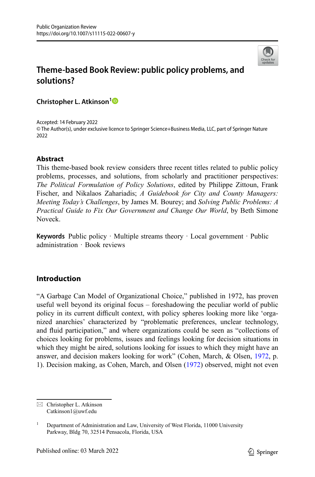

# **Theme-based Book Review: public policy problems, and solutions?**

**Christopher L. Atkinson[1](http://orcid.org/0000-0001-9574-9695)**

Accepted: 14 February 2022 © The Author(s), under exclusive licence to Springer Science+Business Media, LLC, part of Springer Nature 2022

## **Abstract**

This theme-based book review considers three recent titles related to public policy problems, processes, and solutions, from scholarly and practitioner perspectives: *The Political Formulation of Policy Solutions*, edited by Philippe Zittoun, Frank Fischer, and Nikalaos Zahariadis; *A Guidebook for City and County Managers: Meeting Today's Challenges*, by James M. Bourey; and *Solving Public Problems: A Practical Guide to Fix Our Government and Change Our World*, by Beth Simone Noveck.

**Keywords** Public policy · Multiple streams theory · Local government · Public administration · Book reviews

## **Introduction**

"A Garbage Can Model of Organizational Choice," published in 1972, has proven useful well beyond its original focus – foreshadowing the peculiar world of public policy in its current difficult context, with policy spheres looking more like 'organized anarchies' characterized by "problematic preferences, unclear technology, and fluid participation," and where organizations could be seen as "collections of choices looking for problems, issues and feelings looking for decision situations in which they might be aired, solutions looking for issues to which they might have an answer, and decision makers looking for work" (Cohen, March, & Olsen, [1972](#page-8-0), p. 1). Decision making, as Cohen, March, and Olsen ([1972\)](#page-8-0) observed, might not even

 $\boxtimes$  Christopher L. Atkinson Catkinson1@uwf.edu

<sup>&</sup>lt;sup>1</sup> Department of Administration and Law, University of West Florida, 11000 University Parkway, Bldg 70, 32514 Pensacola, Florida, USA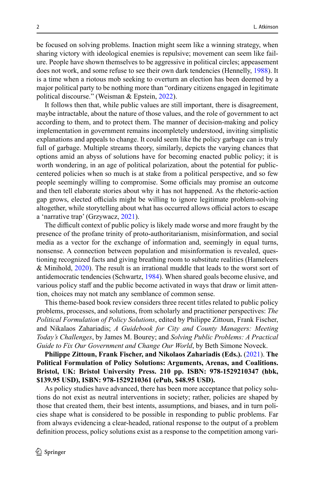be focused on solving problems. Inaction might seem like a winning strategy, when sharing victory with ideological enemies is repulsive; movement can seem like failure. People have shown themselves to be aggressive in political circles; appeasement does not work, and some refuse to see their own dark tendencies (Hennelly, [1988](#page-8-1)). It is a time when a riotous mob seeking to overturn an election has been deemed by a major political party to be nothing more than "ordinary citizens engaged in legitimate political discourse." (Weisman & Epstein, [2022\)](#page-8-2).

It follows then that, while public values are still important, there is disagreement, maybe intractable, about the nature of those values, and the role of government to act according to them, and to protect them. The manner of decision-making and policy implementation in government remains incompletely understood, inviting simplistic explanations and appeals to change. It could seem like the policy garbage can is truly full of garbage. Multiple streams theory, similarly, depicts the varying chances that options amid an abyss of solutions have for becoming enacted public policy; it is worth wondering, in an age of political polarization, about the potential for publiccentered policies when so much is at stake from a political perspective, and so few people seemingly willing to compromise. Some officials may promise an outcome and then tell elaborate stories about why it has not happened. As the rhetoric-action gap grows, elected officials might be willing to ignore legitimate problem-solving altogether, while storytelling about what has occurred allows official actors to escape a 'narrative trap' (Grzywacz, [2021\)](#page-8-3).

The difficult context of public policy is likely made worse and more fraught by the presence of the profane trinity of proto-authoritarianism, misinformation, and social media as a vector for the exchange of information and, seemingly in equal turns, nonsense. A connection between population and misinformation is revealed, questioning recognized facts and giving breathing room to substitute realities (Hameleers & Minihold, [2020](#page-8-4)). The result is an irrational muddle that leads to the worst sort of antidemocratic tendencies (Schwartz, [1984](#page-8-5)). When shared goals become elusive, and various policy staff and the public become activated in ways that draw or limit attention, choices may not match any semblance of common sense.

This theme-based book review considers three recent titles related to public policy problems, processes, and solutions, from scholarly and practitioner perspectives: *The Political Formulation of Policy Solutions*, edited by Philippe Zittoun, Frank Fischer, and Nikalaos Zahariadis; *A Guidebook for City and County Managers: Meeting Today's Challenges*, by James M. Bourey; and *Solving Public Problems: A Practical Guide to Fix Our Government and Change Our World*, by Beth Simone Noveck.

**Philippe Zittoun, Frank Fischer, and Nikolaos Zahariadis (Eds.).** ([2021\)](#page-9-0). **The Political Formulation of Policy Solutions: Arguments, Arenas, and Coalitions. Bristol, UK: Bristol University Press. 210 pp. ISBN: 978-1529210347 (hbk, \$139.95 USD), ISBN: 978-1529210361 (ePub, \$48.95 USD).**

As policy studies have advanced, there has been more acceptance that policy solutions do not exist as neutral interventions in society; rather, policies are shaped by those that created them, their best intents, assumptions, and biases, and in turn policies shape what is considered to be possible in responding to public problems. Far from always evidencing a clear-headed, rational response to the output of a problem definition process, policy solutions exist as a response to the competition among vari-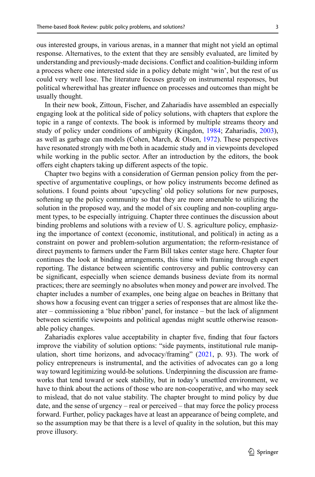ous interested groups, in various arenas, in a manner that might not yield an optimal response. Alternatives, to the extent that they are sensibly evaluated, are limited by understanding and previously-made decisions. Conflict and coalition-building inform a process where one interested side in a policy debate might 'win', but the rest of us could very well lose. The literature focuses greatly on instrumental responses, but political wherewithal has greater influence on processes and outcomes than might be usually thought.

In their new book, Zittoun, Fischer, and Zahariadis have assembled an especially engaging look at the political side of policy solutions, with chapters that explore the topic in a range of contexts. The book is informed by multiple streams theory and study of policy under conditions of ambiguity (Kingdon, [1984](#page-8-6); Zahariadis, [2003\)](#page-8-7), as well as garbage can models (Cohen, March, & Olsen, [1972](#page-8-0)). These perspectives have resonated strongly with me both in academic study and in viewpoints developed while working in the public sector. After an introduction by the editors, the book offers eight chapters taking up different aspects of the topic.

Chapter two begins with a consideration of German pension policy from the perspective of argumentative couplings, or how policy instruments become defined as solutions. I found points about 'upcycling' old policy solutions for new purposes, softening up the policy community so that they are more amenable to utilizing the solution in the proposed way, and the model of six coupling and non-coupling argument types, to be especially intriguing. Chapter three continues the discussion about binding problems and solutions with a review of U. S. agriculture policy, emphasizing the importance of context (economic, institutional, and political) in acting as a constraint on power and problem-solution argumentation; the reform-resistance of direct payments to farmers under the Farm Bill takes center stage here. Chapter four continues the look at binding arrangements, this time with framing through expert reporting. The distance between scientific controversy and public controversy can be significant, especially when science demands business deviate from its normal practices; there are seemingly no absolutes when money and power are involved. The chapter includes a number of examples, one being algae on beaches in Brittany that shows how a focusing event can trigger a series of responses that are almost like theater – commissioning a 'blue ribbon' panel, for instance – but the lack of alignment between scientific viewpoints and political agendas might scuttle otherwise reasonable policy changes.

Zahariadis explores value acceptability in chapter five, finding that four factors improve the viability of solution options: "side payments, institutional rule manip-ulation, short time horizons, and advocacy/framing" ([2021,](#page-9-0) p. 93). The work of policy entrepreneurs is instrumental, and the activities of advocates can go a long way toward legitimizing would-be solutions. Underpinning the discussion are frameworks that tend toward or seek stability, but in today's unsettled environment, we have to think about the actions of those who are non-cooperative, and who may seek to mislead, that do not value stability. The chapter brought to mind policy by due date, and the sense of urgency – real or perceived – that may force the policy process forward. Further, policy packages have at least an appearance of being complete, and so the assumption may be that there is a level of quality in the solution, but this may prove illusory.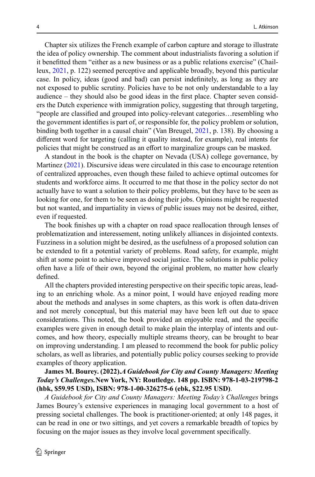Chapter six utilizes the French example of carbon capture and storage to illustrate the idea of policy ownership. The comment about industrialists favoring a solution if it benefitted them "either as a new business or as a public relations exercise" (Chailleux, [2021](#page-8-8), p. 122) seemed perceptive and applicable broadly, beyond this particular case. In policy, ideas (good and bad) can persist indefinitely, as long as they are not exposed to public scrutiny. Policies have to be not only understandable to a lay audience – they should also be good ideas in the first place. Chapter seven considers the Dutch experience with immigration policy, suggesting that through targeting, "people are classified and grouped into policy-relevant categories…resembling who the government identifies is part of, or responsible for, the policy problem or solution, binding both together in a causal chain" (Van Breugel, [2021](#page-8-9), p. 138). By choosing a different word for targeting (calling it quality instead, for example), real intents for policies that might be construed as an effort to marginalize groups can be masked.

A standout in the book is the chapter on Nevada (USA) college governance, by Martinez ([2021\)](#page-8-10). Discursive ideas were circulated in this case to encourage retention of centralized approaches, even though these failed to achieve optimal outcomes for students and workforce aims. It occurred to me that those in the policy sector do not actually have to want a solution to their policy problems, but they have to be seen as looking for one, for them to be seen as doing their jobs. Opinions might be requested but not wanted, and impartiality in views of public issues may not be desired, either, even if requested.

The book finishes up with a chapter on road space reallocation through lenses of problematization and interessement, noting unlikely alliances in disjointed contexts. Fuzziness in a solution might be desired, as the usefulness of a proposed solution can be extended to fit a potential variety of problems. Road safety, for example, might shift at some point to achieve improved social justice. The solutions in public policy often have a life of their own, beyond the original problem, no matter how clearly defined.

All the chapters provided interesting perspective on their specific topic areas, leading to an enriching whole. As a minor point, I would have enjoyed reading more about the methods and analyses in some chapters, as this work is often data-driven and not merely conceptual, but this material may have been left out due to space considerations. This noted, the book provided an enjoyable read, and the specific examples were given in enough detail to make plain the interplay of intents and outcomes, and how theory, especially multiple streams theory, can be brought to bear on improving understanding. I am pleased to recommend the book for public policy scholars, as well as libraries, and potentially public policy courses seeking to provide examples of theory application.

## **James M. Bourey. (2022).***A Guidebook for City and County Managers: Meeting Today's Challenges.***New York, NY: Routledge. 148 pp. ISBN: 978-1-03-219798-2 (hbk, \$59.95 USD), ISBN: 978-1-00-326275-6 (ebk, \$22.95 USD)**.

*A Guidebook for City and County Managers: Meeting Today's Challenges* brings James Bourey's extensive experiences in managing local government to a host of pressing societal challenges. The book is practitioner-oriented; at only 148 pages, it can be read in one or two sittings, and yet covers a remarkable breadth of topics by focusing on the major issues as they involve local government specifically.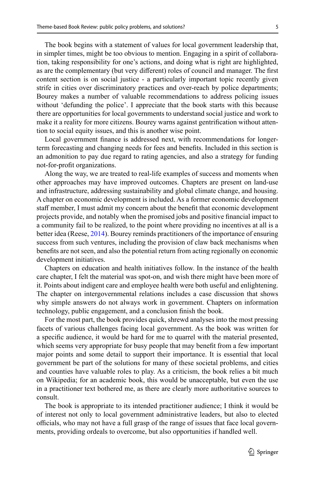The book begins with a statement of values for local government leadership that, in simpler times, might be too obvious to mention. Engaging in a spirit of collaboration, taking responsibility for one's actions, and doing what is right are highlighted, as are the complementary (but very different) roles of council and manager. The first content section is on social justice - a particularly important topic recently given strife in cities over discriminatory practices and over-reach by police departments; Bourey makes a number of valuable recommendations to address policing issues without 'defunding the police'. I appreciate that the book starts with this because there are opportunities for local governments to understand social justice and work to make it a reality for more citizens. Bourey warns against gentrification without attention to social equity issues, and this is another wise point.

Local government finance is addressed next, with recommendations for longerterm forecasting and changing needs for fees and benefits. Included in this section is an admonition to pay due regard to rating agencies, and also a strategy for funding not-for-profit organizations.

Along the way, we are treated to real-life examples of success and moments when other approaches may have improved outcomes. Chapters are present on land-use and infrastructure, addressing sustainability and global climate change, and housing. A chapter on economic development is included. As a former economic development staff member, I must admit my concern about the benefit that economic development projects provide, and notably when the promised jobs and positive financial impact to a community fail to be realized, to the point where providing no incentives at all is a better idea (Reese, [2014](#page-8-11)). Bourey reminds practitioners of the importance of ensuring success from such ventures, including the provision of claw back mechanisms when benefits are not seen, and also the potential return from acting regionally on economic development initiatives.

Chapters on education and health initiatives follow. In the instance of the health care chapter, I felt the material was spot-on, and wish there might have been more of it. Points about indigent care and employee health were both useful and enlightening. The chapter on intergovernmental relations includes a case discussion that shows why simple answers do not always work in government. Chapters on information technology, public engagement, and a conclusion finish the book.

For the most part, the book provides quick, shrewd analyses into the most pressing facets of various challenges facing local government. As the book was written for a specific audience, it would be hard for me to quarrel with the material presented, which seems very appropriate for busy people that may benefit from a few important major points and some detail to support their importance. It is essential that local government be part of the solutions for many of these societal problems, and cities and counties have valuable roles to play. As a criticism, the book relies a bit much on Wikipedia; for an academic book, this would be unacceptable, but even the use in a practitioner text bothered me, as there are clearly more authoritative sources to consult.

The book is appropriate to its intended practitioner audience; I think it would be of interest not only to local government administrative leaders, but also to elected officials, who may not have a full grasp of the range of issues that face local governments, providing ordeals to overcome, but also opportunities if handled well.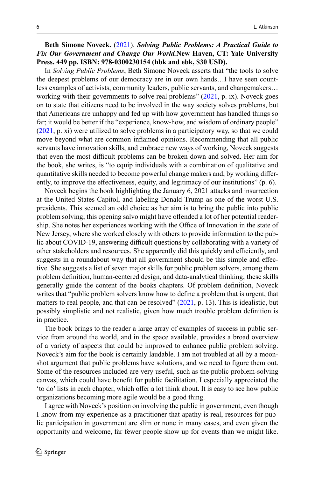**Beth Simone Noveck.** [\(2021](#page-8-12)). *Solving Public Problems: A Practical Guide to Fix Our Government and Change Our World.***New Haven, CT: Yale University Press. 449 pp. ISBN: 978-0300230154 (hbk and ebk, \$30 USD).**

In *Solving Public Problems*, Beth Simone Noveck asserts that "the tools to solve the deepest problems of our democracy are in our own hands…I have seen countless examples of activists, community leaders, public servants, and changemakers… working with their governments to solve real problems" ([2021](#page-8-8), p. ix). Noveck goes on to state that citizens need to be involved in the way society solves problems, but that Americans are unhappy and fed up with how government has handled things so far; it would be better if the "experience, know-how, and wisdom of ordinary people" [\(2021](#page-8-8), p. xi) were utilized to solve problems in a participatory way, so that we could move beyond what are common inflamed opinions. Recommending that all public servants have innovation skills, and embrace new ways of working, Noveck suggests that even the most difficult problems can be broken down and solved. Her aim for the book, she writes, is "to equip individuals with a combination of qualitative and quantitative skills needed to become powerful change makers and, by working differently, to improve the effectiveness, equity, and legitimacy of our institutions" (p. 6).

Noveck begins the book highlighting the January 6, 2021 attacks and insurrection at the United States Capitol, and labeling Donald Trump as one of the worst U.S. presidents. This seemed an odd choice as her aim is to bring the public into public problem solving; this opening salvo might have offended a lot of her potential readership. She notes her experiences working with the Office of Innovation in the state of New Jersey, where she worked closely with others to provide information to the public about COVID-19, answering difficult questions by collaborating with a variety of other stakeholders and resources. She apparently did this quickly and efficiently, and suggests in a roundabout way that all government should be this simple and effective. She suggests a list of seven major skills for public problem solvers, among them problem definition, human-centered design, and data-analytical thinking; these skills generally guide the content of the books chapters. Of problem definition, Noveck writes that "public problem solvers know how to define a problem that is urgent, that matters to real people, and that can be resolved"  $(2021, p. 13)$  $(2021, p. 13)$  $(2021, p. 13)$ . This is idealistic, but possibly simplistic and not realistic, given how much trouble problem definition is in practice.

The book brings to the reader a large array of examples of success in public service from around the world, and in the space available, provides a broad overview of a variety of aspects that could be improved to enhance public problem solving. Noveck's aim for the book is certainly laudable. I am not troubled at all by a moonshot argument that public problems have solutions, and we need to figure them out. Some of the resources included are very useful, such as the public problem-solving canvas, which could have benefit for public facilitation. I especially appreciated the 'to do' lists in each chapter, which offer a lot think about. It is easy to see how public organizations becoming more agile would be a good thing.

I agree with Noveck's position on involving the public in government, even though I know from my experience as a practitioner that apathy is real, resources for public participation in government are slim or none in many cases, and even given the opportunity and welcome, far fewer people show up for events than we might like.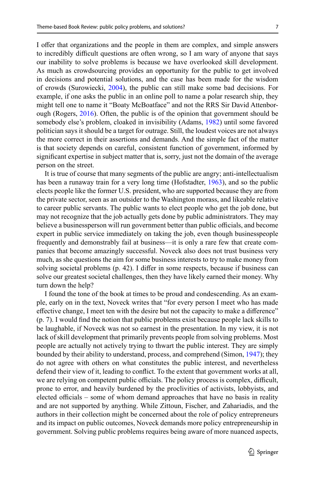I offer that organizations and the people in them are complex, and simple answers to incredibly difficult questions are often wrong, so I am wary of anyone that says our inability to solve problems is because we have overlooked skill development. As much as crowdsourcing provides an opportunity for the public to get involved in decisions and potential solutions, and the case has been made for the wisdom of crowds (Surowiecki, [2004](#page-8-13)), the public can still make some bad decisions. For example, if one asks the public in an online poll to name a polar research ship, they might tell one to name it "Boaty McBoatface" and not the RRS Sir David Attenborough (Rogers, [2016](#page-8-14)). Often, the public is of the opinion that government should be somebody else's problem, cloaked in invisibility (Adams, [1982](#page-8-15)) until some favored politician says it should be a target for outrage. Still, the loudest voices are not always the more correct in their assertions and demands. And the simple fact of the matter is that society depends on careful, consistent function of government, informed by significant expertise in subject matter that is, sorry, just not the domain of the average person on the street.

It is true of course that many segments of the public are angry; anti-intellectualism has been a runaway train for a very long time (Hofstadter, [1963](#page-8-16)), and so the public elects people like the former U.S. president, who are supported because they are from the private sector, seen as an outsider to the Washington morass, and likeable relative to career public servants. The public wants to elect people who get the job done, but may not recognize that the job actually gets done by public administrators. They may believe a businessperson will run government better than public officials, and become expert in public service immediately on taking the job, even though businesspeople frequently and demonstrably fail at business—it is only a rare few that create companies that become amazingly successful. Noveck also does not trust business very much, as she questions the aim for some business interests to try to make money from solving societal problems (p. 42). I differ in some respects, because if business can solve our greatest societal challenges, then they have likely earned their money. Why turn down the help?

I found the tone of the book at times to be proud and condescending. As an example, early on in the text, Noveck writes that "for every person I meet who has made effective change, I meet ten with the desire but not the capacity to make a difference" (p. 7). I would find the notion that public problems exist because people lack skills to be laughable, if Noveck was not so earnest in the presentation. In my view, it is not lack of skill development that primarily prevents people from solving problems. Most people are actually not actively trying to thwart the public interest. They are simply bounded by their ability to understand, process, and comprehend (Simon, [1947\)](#page-8-17); they do not agree with others on what constitutes the public interest, and nevertheless defend their view of it, leading to conflict. To the extent that government works at all, we are relying on competent public officials. The policy process is complex, difficult, prone to error, and heavily burdened by the proclivities of activists, lobbyists, and elected officials – some of whom demand approaches that have no basis in reality and are not supported by anything. While Zittoun, Fischer, and Zahariadis, and the authors in their collection might be concerned about the role of policy entrepreneurs and its impact on public outcomes, Noveck demands more policy entrepreneurship in government. Solving public problems requires being aware of more nuanced aspects,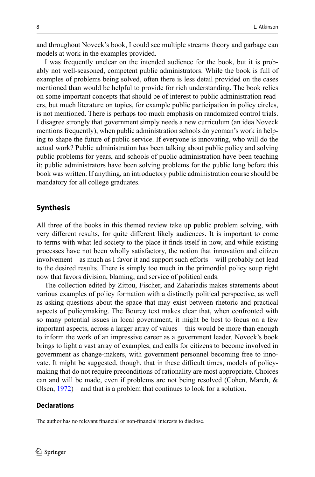and throughout Noveck's book, I could see multiple streams theory and garbage can models at work in the examples provided.

I was frequently unclear on the intended audience for the book, but it is probably not well-seasoned, competent public administrators. While the book is full of examples of problems being solved, often there is less detail provided on the cases mentioned than would be helpful to provide for rich understanding. The book relies on some important concepts that should be of interest to public administration readers, but much literature on topics, for example public participation in policy circles, is not mentioned. There is perhaps too much emphasis on randomized control trials. I disagree strongly that government simply needs a new curriculum (an idea Noveck mentions frequently), when public administration schools do yeoman's work in helping to shape the future of public service. If everyone is innovating, who will do the actual work? Public administration has been talking about public policy and solving public problems for years, and schools of public administration have been teaching it; public administrators have been solving problems for the public long before this book was written. If anything, an introductory public administration course should be mandatory for all college graduates.

#### **Synthesis**

All three of the books in this themed review take up public problem solving, with very different results, for quite different likely audiences. It is important to come to terms with what led society to the place it finds itself in now, and while existing processes have not been wholly satisfactory, the notion that innovation and citizen involvement – as much as I favor it and support such efforts – will probably not lead to the desired results. There is simply too much in the primordial policy soup right now that favors division, blaming, and service of political ends.

The collection edited by Zittou, Fischer, and Zahariadis makes statements about various examples of policy formation with a distinctly political perspective, as well as asking questions about the space that may exist between rhetoric and practical aspects of policymaking. The Bourey text makes clear that, when confronted with so many potential issues in local government, it might be best to focus on a few important aspects, across a larger array of values – this would be more than enough to inform the work of an impressive career as a government leader. Noveck's book brings to light a vast array of examples, and calls for citizens to become involved in government as change-makers, with government personnel becoming free to innovate. It might be suggested, though, that in these difficult times, models of policymaking that do not require preconditions of rationality are most appropriate. Choices can and will be made, even if problems are not being resolved (Cohen, March, & Olsen, [1972](#page-8-0)) – and that is a problem that continues to look for a solution.

#### **Declarations**

The author has no relevant financial or non-financial interests to disclose.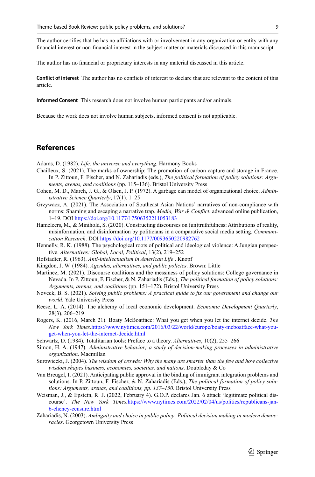The author certifies that he has no affiliations with or involvement in any organization or entity with any financial interest or non-financial interest in the subject matter or materials discussed in this manuscript.

The author has no financial or proprietary interests in any material discussed in this article.

**Conflict of interest** The author has no conflicts of interest to declare that are relevant to the content of this article.

**Informed Consent** This research does not involve human participants and/or animals.

Because the work does not involve human subjects, informed consent is not applicable.

# **References**

<span id="page-8-15"></span>Adams, D. (1982). *Life, the universe and everything*. Harmony Books

- <span id="page-8-8"></span>Chailleux, S. (2021). The marks of ownership: The promotion of carbon capture and storage in France. In P. Zittoun, F. Fischer, and N. Zahariadis (eds.), *The political formation of policy solutions: Arguments, arenas, and coalitions* (pp. 115–136). Bristol University Press
- <span id="page-8-0"></span>Cohen, M. D., March, J. G., & Olsen, J. P. (1972). A garbage can model of organizational choice. *Administrative Science Quarterly*, 17(1), 1–25
- <span id="page-8-3"></span>Grzywacz, A. (2021). The Association of Southeast Asian Nations' narratives of non-compliance with norms: Shaming and escaping a narrative trap. *Media, War & Conflict*, advanced online publication, 1–19. DOI [https://doi.org/10.1177/17506352211053183](http://dx.doi.org/10.1177/17506352211053183)
- <span id="page-8-4"></span>Hameleers, M., & Minihold, S. (2020). Constructing discourses on (un)truthfulness: Attributions of reality, misinformation, and disinformation by politicians in a comparative social media setting. *Communication Research*. DOI [https://doi.org/10.1177/0093650220982762](http://dx.doi.org/10.1177/0093650220982762)
- <span id="page-8-1"></span>Hennelly, R. K. (1988). The psychological roots of political and ideological violence: A Jungian perspective. *Alternatives: Global, Local, Political*, 13(2), 219–252
- <span id="page-8-16"></span>Hofstadter, R. (1963). *Anti-intellectualism in American Life* . Knopf
- <span id="page-8-6"></span>Kingdon, J. W. (1984). *Agendas, alternatives, and public policies*. Brown: Little
- <span id="page-8-10"></span>Martinez, M. (2021). Discourse coalitions and the messiness of policy solutions: College governance in Nevada. In P. Zittoun, F. Fischer, & N. Zahariadis (Eds.), *The political formation of policy solutions: Arguments, arenas, and coalitions* (pp. 151–172). Bristol University Press
- <span id="page-8-12"></span>Noveck, B. S. (2021). *Solving public problems: A practical guide to fix our government and change our world*. Yale University Press
- <span id="page-8-11"></span>Reese, L. A. (2014). The alchemy of local economic development. *Economic Development Quarterly*, 28(3), 206–219
- <span id="page-8-14"></span>Rogers, K. (2016, March 21). Boaty McBoatface: What you get when you let the internet decide. *The New York Times.*[https://www.nytimes.com/2016/03/22/world/europe/boaty-mcboatface-what-you](https://www.nytimes.com/2016/03/22/world/europe/boaty-mcboatface-what-you-get-when-you-let-the-internet-decide.html)[get-when-you-let-the-internet-decide.html](https://www.nytimes.com/2016/03/22/world/europe/boaty-mcboatface-what-you-get-when-you-let-the-internet-decide.html)
- <span id="page-8-5"></span>Schwartz, D. (1984). Totalitarian tools: Preface to a theory. *Alternatives*, 10(2), 255–266
- <span id="page-8-17"></span>Simon, H. A. (1947). *Administrative behavior; a study of decision-making processes in administrative organization*. Macmillan
- <span id="page-8-13"></span>Surowiecki, J. (2004). *The wisdom of crowds: Why the many are smarter than the few and how collective wisdom shapes business, economies, societies, and nations*. Doubleday & Co
- <span id="page-8-9"></span>Van Breugel, I. (2021). Anticipating public approval in the binding of immigrant integration problems and solutions. In P. Zittoun, F. Fischer, & N. Zahariadis (Eds.), *The political formation of policy solutions: Arguments, arenas, and coalitions, pp. 137–150*. Bristol University Press
- <span id="page-8-2"></span>Weisman, J., & Epstein, R. J. (2022, February 4). G.O.P. declares Jan. 6 attack 'legitimate political discourse'. *The New York Times.*[https://www.nytimes.com/2022/02/04/us/politics/republicans-jan-](https://www.nytimes.com/2022/02/04/us/politics/republicans-jan-6-cheney-censure.html)[6-cheney-censure.html](https://www.nytimes.com/2022/02/04/us/politics/republicans-jan-6-cheney-censure.html)
- <span id="page-8-7"></span>Zahariadis, N. (2003). *Ambiguity and choice in public policy: Political decision making in modern democracies*. Georgetown University Press